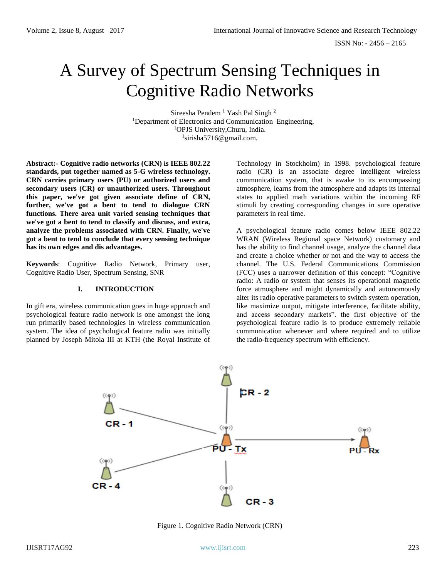# A Survey of Spectrum Sensing Techniques in Cognitive Radio Networks

Sireesha Pendem<sup>1</sup> Yash Pal Singh<sup>2</sup> <sup>1</sup>Department of Electronics and Communication Engineering, <sup>1</sup>OPJS University,Churu, India. 1 sirisha5716@gmail.com.

**Abstract:- Cognitive radio networks (CRN) is IEEE 802.22 standards, put together named as 5-G wireless technology. CRN carries primary users (PU) or authorized users and secondary users (CR) or unauthorized users. Throughout this paper, we've got given associate define of CRN, further, we've got a bent to tend to dialogue CRN functions. There area unit varied sensing techniques that we've got a bent to tend to classify and discuss, and extra, analyze the problems associated with CRN. Finally, we've got a bent to tend to conclude that every sensing technique has its own edges and dis advantages.** 

**Keywords**: Cognitive Radio Network, Primary user, Cognitive Radio User, Spectrum Sensing, SNR

## **I. INTRODUCTION**

In gift era, wireless communication goes in huge approach and psychological feature radio network is one amongst the long run primarily based technologies in wireless communication system. The idea of psychological feature radio was initially planned by Joseph Mitola III at KTH (the Royal Institute of Technology in Stockholm) in 1998. psychological feature radio (CR) is an associate degree intelligent wireless communication system, that is awake to its encompassing atmosphere, learns from the atmosphere and adapts its internal states to applied math variations within the incoming RF stimuli by creating corresponding changes in sure operative parameters in real time.

A psychological feature radio comes below IEEE 802.22 WRAN (Wireless Regional space Network) customary and has the ability to find channel usage, analyze the channel data and create a choice whether or not and the way to access the channel. The U.S. Federal Communications Commission (FCC) uses a narrower definition of this concept: "Cognitive radio: A radio or system that senses its operational magnetic force atmosphere and might dynamically and autonomously alter its radio operative parameters to switch system operation, like maximize output, mitigate interference, facilitate ability, and access secondary markets". the first objective of the psychological feature radio is to produce extremely reliable communication whenever and where required and to utilize the radio-frequency spectrum with efficiency.



Figure 1. Cognitive Radio Network (CRN)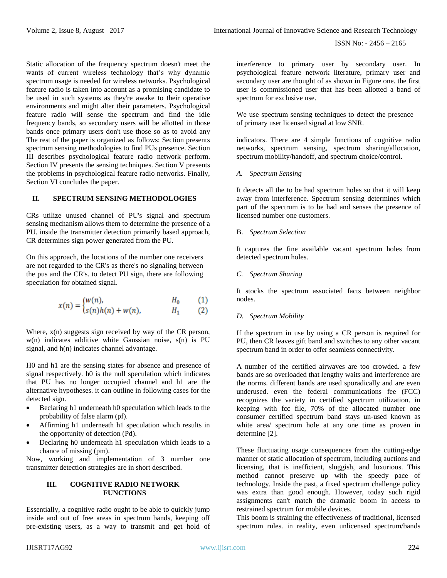Static allocation of the frequency spectrum doesn't meet the wants of current wireless technology that's why dynamic spectrum usage is needed for wireless networks. Psychological feature radio is taken into account as a promising candidate to be used in such systems as they're awake to their operative environments and might alter their parameters. Psychological feature radio will sense the spectrum and find the idle frequency bands, so secondary users will be allotted in those bands once primary users don't use those so as to avoid any The rest of the paper is organized as follows: Section presents spectrum sensing methodologies to find PUs presence. Section III describes psychological feature radio network perform. Section IV presents the sensing techniques. Section V presents the problems in psychological feature radio networks. Finally, Section VI concludes the paper.

# **II. SPECTRUM SENSING METHODOLOGIES**

CRs utilize unused channel of PU's signal and spectrum sensing mechanism allows them to determine the presence of a PU. inside the transmitter detection primarily based approach, CR determines sign power generated from the PU.

On this approach, the locations of the number one receivers are not regarded to the CR's as there's no signaling between the pus and the CR's. to detect PU sign, there are following speculation for obtained signal.

$$
x(n) = \begin{cases} w(n), & H_0 \\ s(n)h(n) + w(n), & H_1 \end{cases}
$$
 (1)

Where,  $x(n)$  suggests sign received by way of the CR person, w(n) indicates additive white Gaussian noise, s(n) is PU signal, and h(n) indicates channel advantage.

H0 and h1 are the sensing states for absence and presence of signal respectively. h0 is the null speculation which indicates that PU has no longer occupied channel and h1 are the alternative hypotheses. it can outline in following cases for the detected sign.

- Beclaring h1 underneath h0 speculation which leads to the probability of false alarm (pf).
- Affirming h1 underneath h1 speculation which results in the opportunity of detection (Pd).
- Declaring h0 underneath h1 speculation which leads to a chance of missing (pm).

Now, working and implementation of 3 number one transmitter detection strategies are in short described.

# **III. COGNITIVE RADIO NETWORK FUNCTIONS**

Essentially, a cognitive radio ought to be able to quickly jump inside and out of free areas in spectrum bands, keeping off pre-existing users, as a way to transmit and get hold of interference to primary user by secondary user. In psychological feature network literature, primary user and secondary user are thought of as shown in Figure one. the first user is commissioned user that has been allotted a band of spectrum for exclusive use.

We use spectrum sensing techniques to detect the presence of primary user licensed signal at low SNR.

indicators. There are 4 simple functions of cognitive radio networks, spectrum sensing, spectrum sharing/allocation, spectrum mobility/handoff, and spectrum choice/control.

*A. Spectrum Sensing*

It detects all the to be had spectrum holes so that it will keep away from interference. Spectrum sensing determines which part of the spectrum is to be had and senses the presence of licensed number one customers.

B. *Spectrum Selection*

It captures the fine available vacant spectrum holes from detected spectrum holes.

*C. Spectrum Sharing*

It stocks the spectrum associated facts between neighbor nodes.

# *D. Spectrum Mobility*

If the spectrum in use by using a CR person is required for PU, then CR leaves gift band and switches to any other vacant spectrum band in order to offer seamless connectivity.

A number of the certified airwaves are too crowded. a few bands are so overloaded that lengthy waits and interference are the norms. different bands are used sporadically and are even underused. even the federal communications fee (FCC) recognizes the variety in certified spectrum utilization. in keeping with fcc file, 70% of the allocated number one consumer certified spectrum band stays un-used known as white area/ spectrum hole at any one time as proven in determine [2].

These fluctuating usage consequences from the cutting-edge manner of static allocation of spectrum, including auctions and licensing, that is inefficient, sluggish, and luxurious. This method cannot preserve up with the speedy pace of technology. Inside the past, a fixed spectrum challenge policy was extra than good enough. However, today such rigid assignments can't match the dramatic boom in access to restrained spectrum for mobile devices.

This boom is straining the effectiveness of traditional, licensed spectrum rules. in reality, even unlicensed spectrum/bands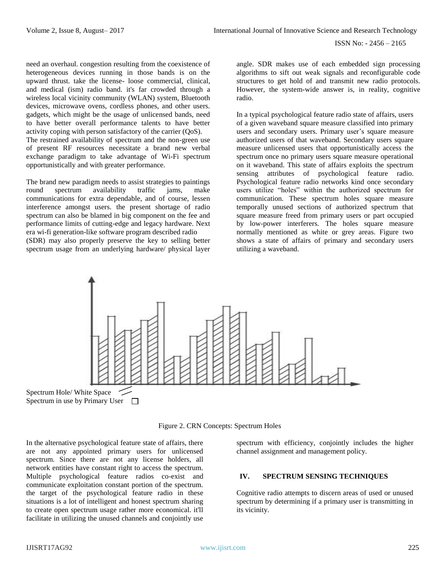need an overhaul. congestion resulting from the coexistence of heterogeneous devices running in those bands is on the upward thrust. take the license- loose commercial, clinical, and medical (ism) radio band. it's far crowded through a wireless local vicinity community (WLAN) system, Bluetooth devices, microwave ovens, cordless phones, and other users. gadgets, which might be the usage of unlicensed bands, need to have better overall performance talents to have better activity coping with person satisfactory of the carrier (QoS). The restrained availability of spectrum and the non-green use of present RF resources necessitate a brand new verbal exchange paradigm to take advantage of Wi-Fi spectrum opportunistically and with greater performance.

The brand new paradigm needs to assist strategies to paintings round spectrum availability traffic jams, make communications for extra dependable, and of course, lessen interference amongst users. the present shortage of radio spectrum can also be blamed in big component on the fee and performance limits of cutting-edge and legacy hardware. Next era wi-fi generation-like software program described radio (SDR) may also properly preserve the key to selling better spectrum usage from an underlying hardware/ physical layer

angle. SDR makes use of each embedded sign processing algorithms to sift out weak signals and reconfigurable code structures to get hold of and transmit new radio protocols. However, the system-wide answer is, in reality, cognitive radio.

In a typical psychological feature radio state of affairs, users of a given waveband square measure classified into primary users and secondary users. Primary user's square measure authorized users of that waveband. Secondary users square measure unlicensed users that opportunistically access the spectrum once no primary users square measure operational on it waveband. This state of affairs exploits the spectrum sensing attributes of psychological feature radio. Psychological feature radio networks kind once secondary users utilize "holes" within the authorized spectrum for communication. These spectrum holes square measure temporally unused sections of authorized spectrum that square measure freed from primary users or part occupied by low-power interferers. The holes square measure normally mentioned as white or grey areas. Figure two shows a state of affairs of primary and secondary users utilizing a waveband.



Figure 2. CRN Concepts: Spectrum Holes

In the alternative psychological feature state of affairs, there are not any appointed primary users for unlicensed spectrum. Since there are not any license holders, all network entities have constant right to access the spectrum. Multiple psychological feature radios co-exist and communicate exploitation constant portion of the spectrum. the target of the psychological feature radio in these situations is a lot of intelligent and honest spectrum sharing to create open spectrum usage rather more economical. it'll facilitate in utilizing the unused channels and conjointly use

spectrum with efficiency, conjointly includes the higher channel assignment and management policy.

## **IV. SPECTRUM SENSING TECHNIQUES**

Cognitive radio attempts to discern areas of used or unused spectrum by determining if a primary user is transmitting in its vicinity.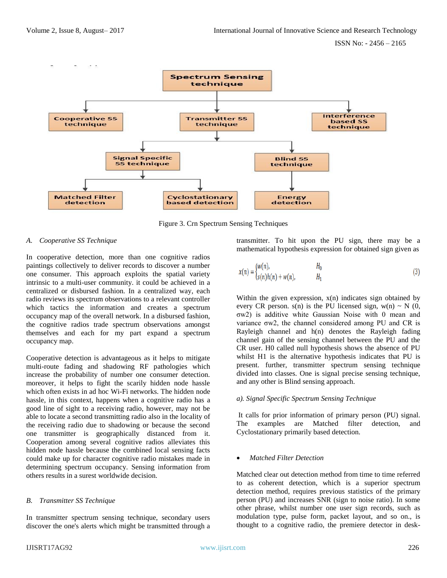

Figure 3. Crn Spectrum Sensing Techniques

## *A. Cooperative SS Technique*

In cooperative detection, more than one cognitive radios paintings collectively to deliver records to discover a number one consumer. This approach exploits the spatial variety intrinsic to a multi-user community. it could be achieved in a centralized or disbursed fashion. In a centralized way, each radio reviews its spectrum observations to a relevant controller which tactics the information and creates a spectrum occupancy map of the overall network. In a disbursed fashion, the cognitive radios trade spectrum observations amongst themselves and each for my part expand a spectrum occupancy map.

Cooperative detection is advantageous as it helps to mitigate multi-route fading and shadowing RF pathologies which increase the probability of number one consumer detection. moreover, it helps to fight the scarily hidden node hassle which often exists in ad hoc Wi-Fi networks. The hidden node hassle, in this context, happens when a cognitive radio has a good line of sight to a receiving radio, however, may not be able to locate a second transmitting radio also in the locality of the receiving radio due to shadowing or because the second one transmitter is geographically distanced from it. Cooperation among several cognitive radios alleviates this hidden node hassle because the combined local sensing facts could make up for character cognitive radio mistakes made in determining spectrum occupancy. Sensing information from others results in a surest worldwide decision.

# *B. Transmitter SS Technique*

In transmitter spectrum sensing technique, secondary users discover the one's alerts which might be transmitted through a transmitter. To hit upon the PU sign, there may be a mathematical hypothesis expression for obtained sign given as

$$
x(n) = \begin{cases} w(n), & H_0 \\ s(n)h(n) + w(n), & H_1 \end{cases}
$$
 (3)

Within the given expression,  $x(n)$  indicates sign obtained by every CR person,  $s(n)$  is the PU licensed sign,  $w(n) \sim N(0, 1)$ σw2) is additive white Gaussian Noise with 0 mean and variance σw2, the channel considered among PU and CR is Rayleigh channel and h(n) denotes the Rayleigh fading channel gain of the sensing channel between the PU and the CR user. H0 called null hypothesis shows the absence of PU whilst H1 is the alternative hypothesis indicates that PU is present. further, transmitter spectrum sensing technique divided into classes. One is signal precise sensing technique, and any other is Blind sensing approach.

### *a). Signal Specific Spectrum Sensing Technique*

It calls for prior information of primary person (PU) signal. The examples are Matched filter detection, and Cyclostationary primarily based detection.

# • *Matched Filter Detection*

Matched clear out detection method from time to time referred to as coherent detection, which is a superior spectrum detection method, requires previous statistics of the primary person (PU) and increases SNR (sign to noise ratio). In some other phrase, whilst number one user sign records, such as modulation type, pulse form, packet layout, and so on., is thought to a cognitive radio, the premiere detector in desk-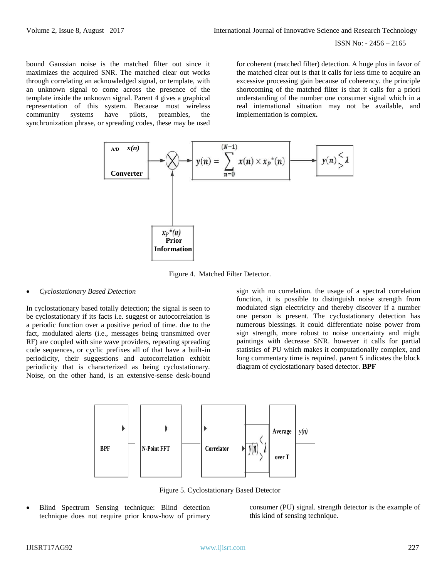bound Gaussian noise is the matched filter out since it maximizes the acquired SNR. The matched clear out works through correlating an acknowledged signal, or template, with an unknown signal to come across the presence of the template inside the unknown signal. Parent 4 gives a graphical representation of this system. Because most wireless community systems have pilots, preambles, the synchronization phrase, or spreading codes, these may be used

for coherent (matched filter) detection. A huge plus in favor of the matched clear out is that it calls for less time to acquire an excessive processing gain because of coherency. the principle shortcoming of the matched filter is that it calls for a priori understanding of the number one consumer signal which in a real international situation may not be available, and implementation is complex**.**



Figure 4. Matched Filter Detector.

### • *Cyclostationary Based Detection*

In cyclostationary based totally detection; the signal is seen to be cyclostationary if its facts i.e. suggest or autocorrelation is a periodic function over a positive period of time. due to the fact, modulated alerts (i.e., messages being transmitted over RF) are coupled with sine wave providers, repeating spreading code sequences, or cyclic prefixes all of that have a built-in periodicity, their suggestions and autocorrelation exhibit periodicity that is characterized as being cyclostationary. Noise, on the other hand, is an extensive-sense desk-bound

sign with no correlation. the usage of a spectral correlation function, it is possible to distinguish noise strength from modulated sign electricity and thereby discover if a number one person is present. The cyclostationary detection has numerous blessings. it could differentiate noise power from sign strength, more robust to noise uncertainty and might paintings with decrease SNR. however it calls for partial statistics of PU which makes it computationally complex, and long commentary time is required. parent 5 indicates the block diagram of cyclostationary based detector. **BPF** 



Figure 5. Cyclostationary Based Detector

• Blind Spectrum Sensing technique: Blind detection technique does not require prior know-how of primary

consumer (PU) signal. strength detector is the example of this kind of sensing technique.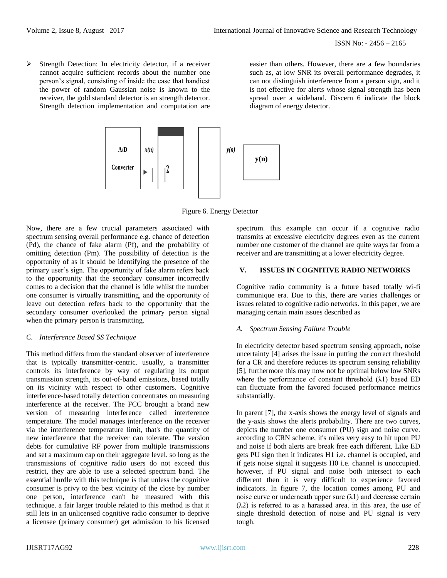➢ Strength Detection: In electricity detector, if a receiver cannot acquire sufficient records about the number one person's signal, consisting of inside the case that handiest the power of random Gaussian noise is known to the receiver, the gold standard detector is an strength detector. Strength detection implementation and computation are

easier than others. However, there are a few boundaries such as, at low SNR its overall performance degrades, it can not distinguish interference from a person sign, and it is not effective for alerts whose signal strength has been spread over a wideband. Discern 6 indicate the block diagram of energy detector.



Figure 6. Energy Detector

Now, there are a few crucial parameters associated with spectrum sensing overall performance e.g. chance of detection (Pd), the chance of fake alarm (Pf), and the probability of omitting detection (Pm). The possibility of detection is the opportunity of as it should be identifying the presence of the primary user's sign. The opportunity of fake alarm refers back to the opportunity that the secondary consumer incorrectly comes to a decision that the channel is idle whilst the number one consumer is virtually transmitting, and the opportunity of leave out detection refers back to the opportunity that the secondary consumer overlooked the primary person signal when the primary person is transmitting.

# *C. Interference Based SS Technique*

This method differs from the standard observer of interference that is typically transmitter-centric. usually, a transmitter controls its interference by way of regulating its output transmission strength, its out-of-band emissions, based totally on its vicinity with respect to other customers. Cognitive interference-based totally detection concentrates on measuring interference at the receiver. The FCC brought a brand new version of measuring interference called interference temperature. The model manages interference on the receiver via the interference temperature limit, that's the quantity of new interference that the receiver can tolerate. The version debts for cumulative RF power from multiple transmissions and set a maximum cap on their aggregate level. so long as the transmissions of cognitive radio users do not exceed this restrict, they are able to use a selected spectrum band. The essential hurdle with this technique is that unless the cognitive consumer is privy to the best vicinity of the close by number one person, interference can't be measured with this technique. a fair larger trouble related to this method is that it still lets in an unlicensed cognitive radio consumer to deprive a licensee (primary consumer) get admission to his licensed

spectrum. this example can occur if a cognitive radio transmits at excessive electricity degrees even as the current number one customer of the channel are quite ways far from a receiver and are transmitting at a lower electricity degree.

## **V. ISSUES IN COGNITIVE RADIO NETWORKS**

Cognitive radio community is a future based totally wi-fi communique era. Due to this, there are varies challenges or issues related to cognitive radio networks. in this paper, we are managing certain main issues described as

### *A. Spectrum Sensing Failure Trouble*

In electricity detector based spectrum sensing approach, noise uncertainty [4] arises the issue in putting the correct threshold for a CR and therefore reduces its spectrum sensing reliability [5], furthermore this may now not be optimal below low SNRs where the performance of constant threshold  $(\lambda 1)$  based ED can fluctuate from the favored focused performance metrics substantially.

In parent [7], the x-axis shows the energy level of signals and the y-axis shows the alerts probability. There are two curves, depicts the number one consumer (PU) sign and noise curve. according to CRN scheme, it's miles very easy to hit upon PU and noise if both alerts are break free each different. Like ED gets PU sign then it indicates H1 i.e. channel is occupied, and if gets noise signal it suggests H0 i.e. channel is unoccupied. however, if PU signal and noise both intersect to each different then it is very difficult to experience favored indicators. In figure 7, the location comes among PU and noise curve or underneath upper sure  $(\lambda 1)$  and decrease certain (λ2) is referred to as a harassed area. in this area, the use of single threshold detection of noise and PU signal is very tough.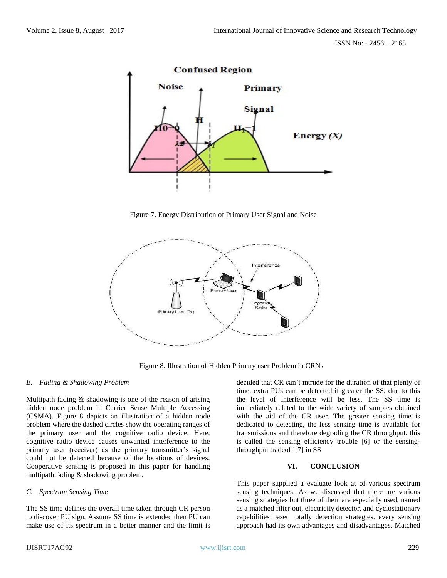

Figure 7. Energy Distribution of Primary User Signal and Noise



Figure 8. Illustration of Hidden Primary user Problem in CRNs

### *B. Fading & Shadowing Problem*

Multipath fading & shadowing is one of the reason of arising hidden node problem in Carrier Sense Multiple Accessing (CSMA). Figure 8 depicts an illustration of a hidden node problem where the dashed circles show the operating ranges of the primary user and the cognitive radio device. Here, cognitive radio device causes unwanted interference to the primary user (receiver) as the primary transmitter's signal could not be detected because of the locations of devices. Cooperative sensing is proposed in this paper for handling multipath fading & shadowing problem.

# *C. Spectrum Sensing Time*

The SS time defines the overall time taken through CR person to discover PU sign. Assume SS time is extended then PU can make use of its spectrum in a better manner and the limit is decided that CR can't intrude for the duration of that plenty of time. extra PUs can be detected if greater the SS, due to this the level of interference will be less. The SS time is immediately related to the wide variety of samples obtained with the aid of the CR user. The greater sensing time is dedicated to detecting, the less sensing time is available for transmissions and therefore degrading the CR throughput. this is called the sensing efficiency trouble [6] or the sensingthroughput tradeoff [7] in SS

# **VI. CONCLUSION**

This paper supplied a evaluate look at of various spectrum sensing techniques. As we discussed that there are various sensing strategies but three of them are especially used, named as a matched filter out, electricity detector, and cyclostationary capabilities based totally detection strategies. every sensing approach had its own advantages and disadvantages. Matched